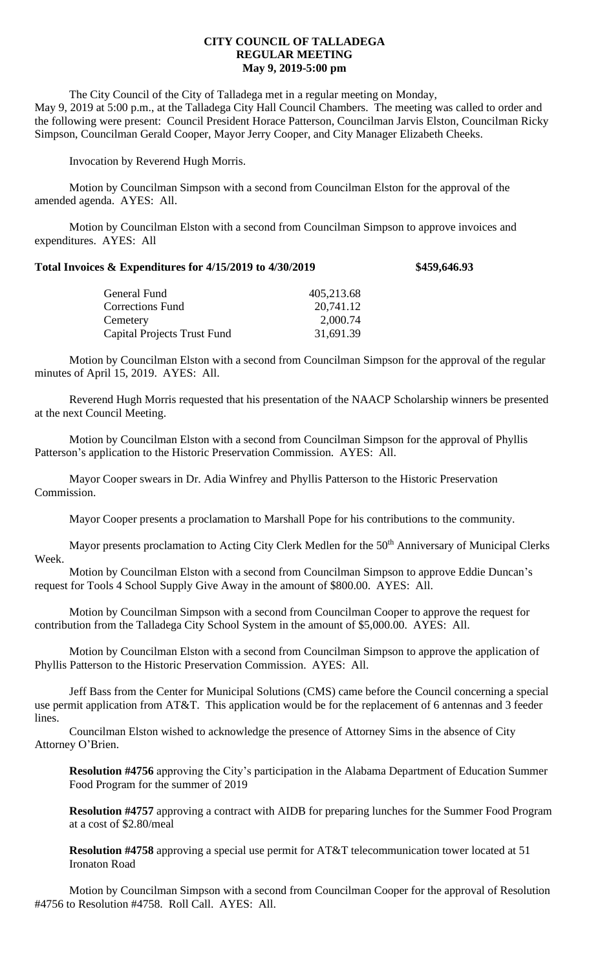## **CITY COUNCIL OF TALLADEGA REGULAR MEETING May 9, 2019-5:00 pm**

The City Council of the City of Talladega met in a regular meeting on Monday, May 9, 2019 at 5:00 p.m., at the Talladega City Hall Council Chambers. The meeting was called to order and the following were present: Council President Horace Patterson, Councilman Jarvis Elston, Councilman Ricky Simpson, Councilman Gerald Cooper, Mayor Jerry Cooper, and City Manager Elizabeth Cheeks.

Invocation by Reverend Hugh Morris.

Motion by Councilman Simpson with a second from Councilman Elston for the approval of the amended agenda. AYES: All.

Motion by Councilman Elston with a second from Councilman Simpson to approve invoices and expenditures. AYES: All

## **Total Invoices & Expenditures for 4/15/2019 to 4/30/2019 \$459,646.93**

| General Fund                       | 405,213.68 |
|------------------------------------|------------|
| <b>Corrections Fund</b>            | 20,741.12  |
| Cemetery                           | 2,000.74   |
| <b>Capital Projects Trust Fund</b> | 31,691.39  |
|                                    |            |

Motion by Councilman Elston with a second from Councilman Simpson for the approval of the regular minutes of April 15, 2019. AYES: All.

Reverend Hugh Morris requested that his presentation of the NAACP Scholarship winners be presented at the next Council Meeting.

Motion by Councilman Elston with a second from Councilman Simpson for the approval of Phyllis Patterson's application to the Historic Preservation Commission. AYES: All.

Mayor Cooper swears in Dr. Adia Winfrey and Phyllis Patterson to the Historic Preservation Commission.

Mayor Cooper presents a proclamation to Marshall Pope for his contributions to the community.

Mayor presents proclamation to Acting City Clerk Medlen for the 50<sup>th</sup> Anniversary of Municipal Clerks Week.

Motion by Councilman Elston with a second from Councilman Simpson to approve Eddie Duncan's request for Tools 4 School Supply Give Away in the amount of \$800.00. AYES: All.

Motion by Councilman Simpson with a second from Councilman Cooper to approve the request for contribution from the Talladega City School System in the amount of \$5,000.00. AYES: All.

Motion by Councilman Elston with a second from Councilman Simpson to approve the application of Phyllis Patterson to the Historic Preservation Commission. AYES: All.

Jeff Bass from the Center for Municipal Solutions (CMS) came before the Council concerning a special use permit application from AT&T. This application would be for the replacement of 6 antennas and 3 feeder lines.

Councilman Elston wished to acknowledge the presence of Attorney Sims in the absence of City Attorney O'Brien.

**Resolution #4756** approving the City's participation in the Alabama Department of Education Summer Food Program for the summer of 2019

**Resolution #4757** approving a contract with AIDB for preparing lunches for the Summer Food Program at a cost of \$2.80/meal

**Resolution #4758** approving a special use permit for AT&T telecommunication tower located at 51 Ironaton Road

Motion by Councilman Simpson with a second from Councilman Cooper for the approval of Resolution #4756 to Resolution #4758. Roll Call. AYES: All.